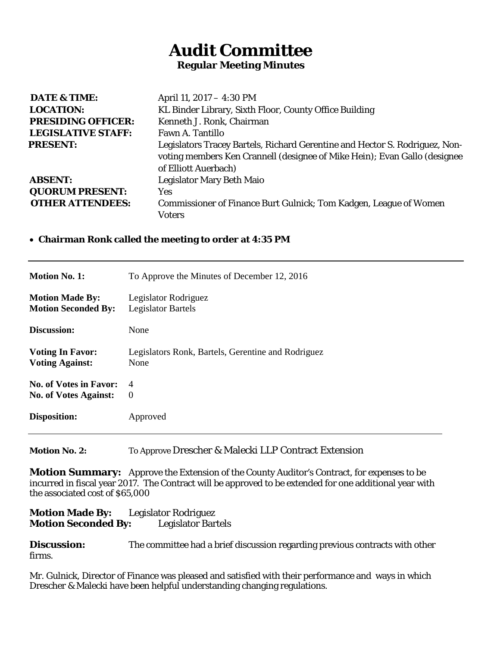## **Audit Committee Regular Meeting Minutes**

| <b>DATE &amp; TIME:</b>   | April 11, 2017 - 4:30 PM                                                                                                                                                         |  |  |
|---------------------------|----------------------------------------------------------------------------------------------------------------------------------------------------------------------------------|--|--|
| <b>LOCATION:</b>          | KL Binder Library, Sixth Floor, County Office Building                                                                                                                           |  |  |
| <b>PRESIDING OFFICER:</b> | Kenneth J. Ronk, Chairman                                                                                                                                                        |  |  |
| <b>LEGISLATIVE STAFF:</b> | Fawn A. Tantillo                                                                                                                                                                 |  |  |
| <b>PRESENT:</b>           | Legislators Tracey Bartels, Richard Gerentine and Hector S. Rodriguez, Non-<br>voting members Ken Crannell (designee of Mike Hein); Evan Gallo (designee<br>of Elliott Auerbach) |  |  |
| <b>ABSENT:</b>            | <b>Legislator Mary Beth Maio</b>                                                                                                                                                 |  |  |
| <b>QUORUM PRESENT:</b>    | <b>Yes</b>                                                                                                                                                                       |  |  |
| <b>OTHER ATTENDEES:</b>   | Commissioner of Finance Burt Gulnick; Tom Kadgen, League of Women                                                                                                                |  |  |
|                           | <b>Voters</b>                                                                                                                                                                    |  |  |

## • **Chairman Ronk called the meeting to order at 4:35 PM**

| <b>Motion No. 1:</b>                                          | To Approve the Minutes of December 12, 2016                |
|---------------------------------------------------------------|------------------------------------------------------------|
| <b>Motion Made By:</b><br><b>Motion Seconded By:</b>          | Legislator Rodriguez<br>Legislator Bartels                 |
| Discussion:                                                   | None                                                       |
| <b>Voting In Favor:</b><br><b>Voting Against:</b>             | Legislators Ronk, Bartels, Gerentine and Rodriguez<br>None |
| <b>No. of Votes in Favor:</b><br><b>No. of Votes Against:</b> | $\overline{4}$<br>$\theta$                                 |
| <b>Disposition:</b>                                           | Approved                                                   |
|                                                               |                                                            |

**Motion No. 2:** To Approve Drescher & Malecki LLP Contract Extension

**Motion Summary:** Approve the Extension of the County Auditor's Contract, for expenses to be incurred in fiscal year 2017. The Contract will be approved to be extended for one additional year with the associated cost of \$65,000

| <b>Motion Made By:</b>     | Legislator Rodriguez      |
|----------------------------|---------------------------|
| <b>Motion Seconded By:</b> | <b>Legislator Bartels</b> |

**Discussion:** The committee had a brief discussion regarding previous contracts with other firms.

Mr. Gulnick, Director of Finance was pleased and satisfied with their performance and ways in which Drescher & Malecki have been helpful understanding changing regulations.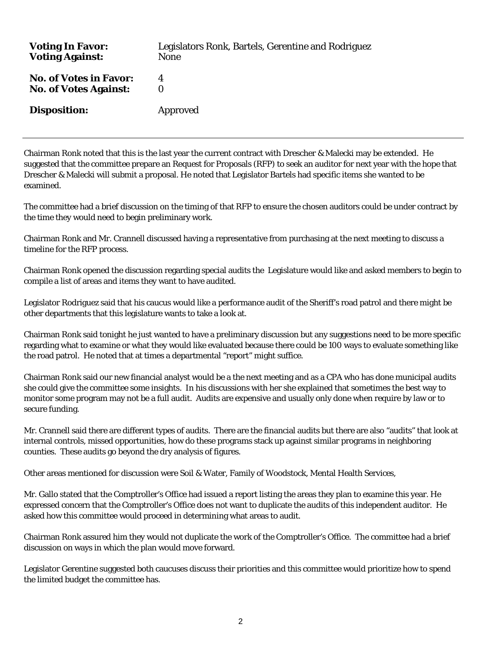| <b>Voting In Favor:</b>       | Legislators Ronk, Bartels, Gerentine and Rodriguez |
|-------------------------------|----------------------------------------------------|
| <b>Voting Against:</b>        | None                                               |
| <b>No. of Votes in Favor:</b> | 4                                                  |
| <b>No. of Votes Against:</b>  | $\bf{0}$                                           |
| <b>Disposition:</b>           | Approved                                           |

Chairman Ronk noted that this is the last year the current contract with Drescher & Malecki may be extended. He suggested that the committee prepare an Request for Proposals (RFP) to seek an auditor for next year with the hope that Drescher & Malecki will submit a proposal. He noted that Legislator Bartels had specific items she wanted to be examined.

The committee had a brief discussion on the timing of that RFP to ensure the chosen auditors could be under contract by the time they would need to begin preliminary work.

Chairman Ronk and Mr. Crannell discussed having a representative from purchasing at the next meeting to discuss a timeline for the RFP process.

Chairman Ronk opened the discussion regarding special audits the Legislature would like and asked members to begin to compile a list of areas and items they want to have audited.

Legislator Rodriguez said that his caucus would like a performance audit of the Sheriff's road patrol and there might be other departments that this legislature wants to take a look at.

Chairman Ronk said tonight he just wanted to have a preliminary discussion but any suggestions need to be more specific regarding what to examine or what they would like evaluated because there could be 100 ways to evaluate something like the road patrol. He noted that at times a departmental "report" might suffice.

Chairman Ronk said our new financial analyst would be a the next meeting and as a CPA who has done municipal audits she could give the committee some insights. In his discussions with her she explained that sometimes the best way to monitor some program may not be a full audit. Audits are expensive and usually only done when require by law or to secure funding.

Mr. Crannell said there are different types of audits. There are the financial audits but there are also "audits" that look at internal controls, missed opportunities, how do these programs stack up against similar programs in neighboring counties. These audits go beyond the dry analysis of figures.

Other areas mentioned for discussion were Soil & Water, Family of Woodstock, Mental Health Services,

Mr. Gallo stated that the Comptroller's Office had issued a report listing the areas they plan to examine this year. He expressed concern that the Comptroller's Office does not want to duplicate the audits of this independent auditor. He asked how this committee would proceed in determining what areas to audit.

Chairman Ronk assured him they would not duplicate the work of the Comptroller's Office. The committee had a brief discussion on ways in which the plan would move forward.

Legislator Gerentine suggested both caucuses discuss their priorities and this committee would prioritize how to spend the limited budget the committee has.